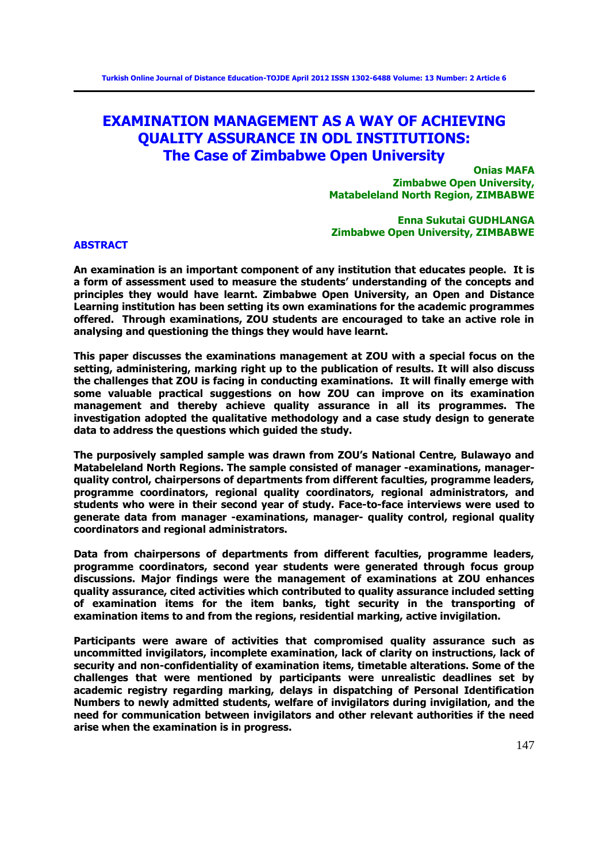# **EXAMINATION MANAGEMENT AS A WAY OF ACHIEVING QUALITY ASSURANCE IN ODL INSTITUTIONS: The Case of Zimbabwe Open University**

**Onias MAFA Zimbabwe Open University, Matabeleland North Region, ZIMBABWE** 

**Enna Sukutai GUDHLANGA Zimbabwe Open University, ZIMBABWE** 

## **ABSTRACT**

**An examination is an important component of any institution that educates people. It is a form of assessment used to measure the students' understanding of the concepts and principles they would have learnt. Zimbabwe Open University, an Open and Distance Learning institution has been setting its own examinations for the academic programmes offered. Through examinations, ZOU students are encouraged to take an active role in analysing and questioning the things they would have learnt.** 

**This paper discusses the examinations management at ZOU with a special focus on the setting, administering, marking right up to the publication of results. It will also discuss the challenges that ZOU is facing in conducting examinations. It will finally emerge with some valuable practical suggestions on how ZOU can improve on its examination management and thereby achieve quality assurance in all its programmes. The investigation adopted the qualitative methodology and a case study design to generate data to address the questions which guided the study.** 

**The purposively sampled sample was drawn from ZOU's National Centre, Bulawayo and Matabeleland North Regions. The sample consisted of manager -examinations, managerquality control, chairpersons of departments from different faculties, programme leaders, programme coordinators, regional quality coordinators, regional administrators, and students who were in their second year of study. Face-to-face interviews were used to generate data from manager -examinations, manager- quality control, regional quality coordinators and regional administrators.** 

**Data from chairpersons of departments from different faculties, programme leaders, programme coordinators, second year students were generated through focus group discussions. Major findings were the management of examinations at ZOU enhances quality assurance, cited activities which contributed to quality assurance included setting of examination items for the item banks, tight security in the transporting of examination items to and from the regions, residential marking, active invigilation.** 

**Participants were aware of activities that compromised quality assurance such as uncommitted invigilators, incomplete examination, lack of clarity on instructions, lack of security and non-confidentiality of examination items, timetable alterations. Some of the challenges that were mentioned by participants were unrealistic deadlines set by academic registry regarding marking, delays in dispatching of Personal Identification Numbers to newly admitted students, welfare of invigilators during invigilation, and the need for communication between invigilators and other relevant authorities if the need arise when the examination is in progress.**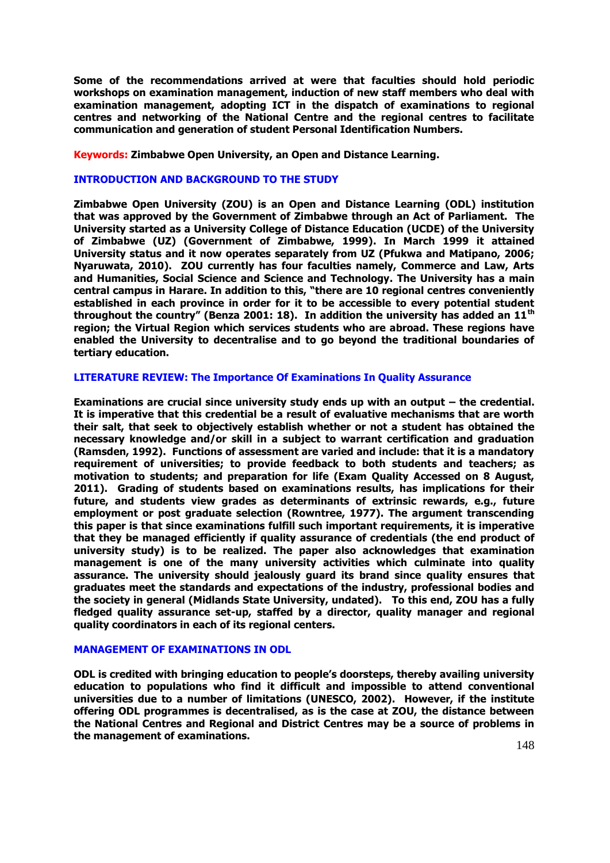**Some of the recommendations arrived at were that faculties should hold periodic workshops on examination management, induction of new staff members who deal with examination management, adopting ICT in the dispatch of examinations to regional centres and networking of the National Centre and the regional centres to facilitate communication and generation of student Personal Identification Numbers.** 

**Keywords: Zimbabwe Open University, an Open and Distance Learning.** 

# **INTRODUCTION AND BACKGROUND TO THE STUDY**

**Zimbabwe Open University (ZOU) is an Open and Distance Learning (ODL) institution that was approved by the Government of Zimbabwe through an Act of Parliament. The University started as a University College of Distance Education (UCDE) of the University of Zimbabwe (UZ) (Government of Zimbabwe, 1999). In March 1999 it attained University status and it now operates separately from UZ (Pfukwa and Matipano, 2006; Nyaruwata, 2010). ZOU currently has four faculties namely, Commerce and Law, Arts and Humanities, Social Science and Science and Technology. The University has a main central campus in Harare. In addition to this, "there are 10 regional centres conveniently established in each province in order for it to be accessible to every potential student throughout the country" (Benza 2001: 18). In addition the university has added an 11th region; the Virtual Region which services students who are abroad. These regions have enabled the University to decentralise and to go beyond the traditional boundaries of tertiary education.** 

# **LITERATURE REVIEW: The Importance Of Examinations In Quality Assurance**

**Examinations are crucial since university study ends up with an output – the credential. It is imperative that this credential be a result of evaluative mechanisms that are worth their salt, that seek to objectively establish whether or not a student has obtained the necessary knowledge and/or skill in a subject to warrant certification and graduation (Ramsden, 1992). Functions of assessment are varied and include: that it is a mandatory requirement of universities; to provide feedback to both students and teachers; as motivation to students; and preparation for life (Exam Quality Accessed on 8 August, 2011). Grading of students based on examinations results, has implications for their future, and students view grades as determinants of extrinsic rewards, e.g., future employment or post graduate selection (Rowntree, 1977). The argument transcending this paper is that since examinations fulfill such important requirements, it is imperative that they be managed efficiently if quality assurance of credentials (the end product of university study) is to be realized. The paper also acknowledges that examination management is one of the many university activities which culminate into quality assurance. The university should jealously guard its brand since quality ensures that graduates meet the standards and expectations of the industry, professional bodies and the society in general (Midlands State University, undated). To this end, ZOU has a fully fledged quality assurance set-up, staffed by a director, quality manager and regional quality coordinators in each of its regional centers.** 

# **MANAGEMENT OF EXAMINATIONS IN ODL**

**ODL is credited with bringing education to people's doorsteps, thereby availing university education to populations who find it difficult and impossible to attend conventional universities due to a number of limitations (UNESCO, 2002). However, if the institute offering ODL programmes is decentralised, as is the case at ZOU, the distance between the National Centres and Regional and District Centres may be a source of problems in the management of examinations.**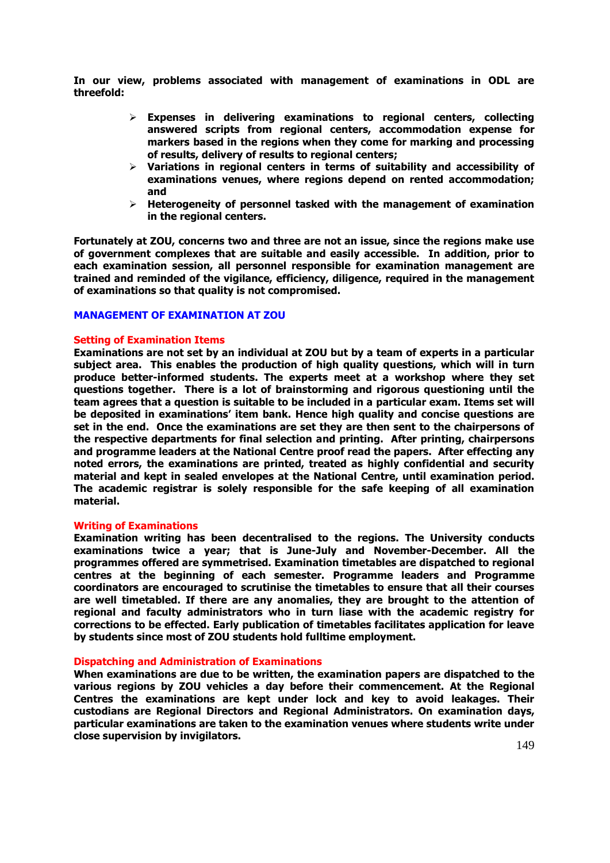**In our view, problems associated with management of examinations in ODL are threefold:** 

- **Expenses in delivering examinations to regional centers, collecting answered scripts from regional centers, accommodation expense for markers based in the regions when they come for marking and processing of results, delivery of results to regional centers;**
- **Variations in regional centers in terms of suitability and accessibility of examinations venues, where regions depend on rented accommodation; and**
- **Heterogeneity of personnel tasked with the management of examination in the regional centers.**

**Fortunately at ZOU, concerns two and three are not an issue, since the regions make use of government complexes that are suitable and easily accessible. In addition, prior to each examination session, all personnel responsible for examination management are trained and reminded of the vigilance, efficiency, diligence, required in the management of examinations so that quality is not compromised.** 

# **MANAGEMENT OF EXAMINATION AT ZOU**

## **Setting of Examination Items**

**Examinations are not set by an individual at ZOU but by a team of experts in a particular subject area. This enables the production of high quality questions, which will in turn produce better-informed students. The experts meet at a workshop where they set questions together. There is a lot of brainstorming and rigorous questioning until the team agrees that a question is suitable to be included in a particular exam. Items set will be deposited in examinations' item bank. Hence high quality and concise questions are set in the end. Once the examinations are set they are then sent to the chairpersons of the respective departments for final selection and printing. After printing, chairpersons and programme leaders at the National Centre proof read the papers. After effecting any noted errors, the examinations are printed, treated as highly confidential and security material and kept in sealed envelopes at the National Centre, until examination period. The academic registrar is solely responsible for the safe keeping of all examination material.** 

#### **Writing of Examinations**

**Examination writing has been decentralised to the regions. The University conducts examinations twice a year; that is June-July and November-December. All the programmes offered are symmetrised. Examination timetables are dispatched to regional centres at the beginning of each semester. Programme leaders and Programme coordinators are encouraged to scrutinise the timetables to ensure that all their courses are well timetabled. If there are any anomalies, they are brought to the attention of regional and faculty administrators who in turn liase with the academic registry for corrections to be effected. Early publication of timetables facilitates application for leave by students since most of ZOU students hold fulltime employment.** 

### **Dispatching and Administration of Examinations**

**When examinations are due to be written, the examination papers are dispatched to the various regions by ZOU vehicles a day before their commencement. At the Regional Centres the examinations are kept under lock and key to avoid leakages. Their custodians are Regional Directors and Regional Administrators. On examination days, particular examinations are taken to the examination venues where students write under close supervision by invigilators.**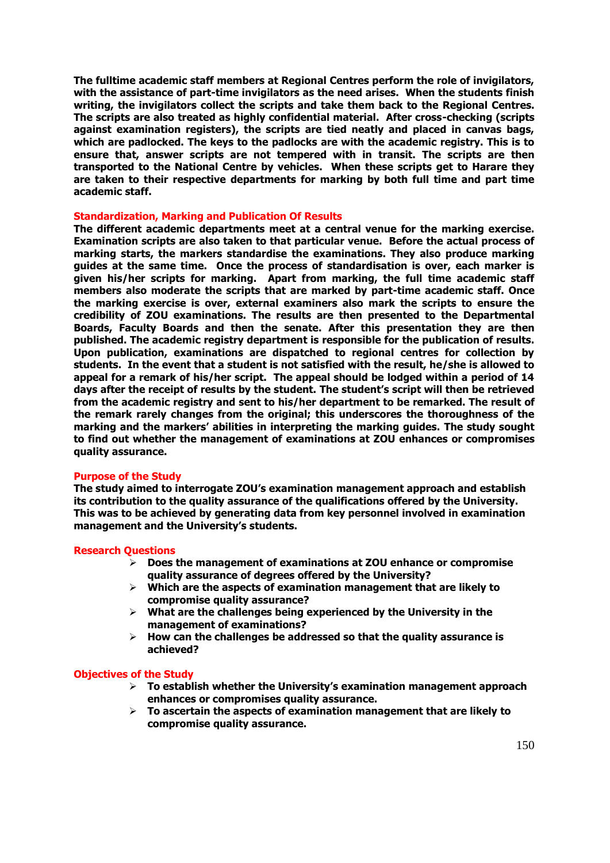**The fulltime academic staff members at Regional Centres perform the role of invigilators, with the assistance of part-time invigilators as the need arises. When the students finish writing, the invigilators collect the scripts and take them back to the Regional Centres. The scripts are also treated as highly confidential material. After cross-checking (scripts against examination registers), the scripts are tied neatly and placed in canvas bags, which are padlocked. The keys to the padlocks are with the academic registry. This is to ensure that, answer scripts are not tempered with in transit. The scripts are then transported to the National Centre by vehicles. When these scripts get to Harare they are taken to their respective departments for marking by both full time and part time academic staff.** 

## **Standardization, Marking and Publication Of Results**

**The different academic departments meet at a central venue for the marking exercise. Examination scripts are also taken to that particular venue. Before the actual process of marking starts, the markers standardise the examinations. They also produce marking guides at the same time. Once the process of standardisation is over, each marker is given his/her scripts for marking. Apart from marking, the full time academic staff members also moderate the scripts that are marked by part-time academic staff. Once the marking exercise is over, external examiners also mark the scripts to ensure the credibility of ZOU examinations. The results are then presented to the Departmental Boards, Faculty Boards and then the senate. After this presentation they are then published. The academic registry department is responsible for the publication of results. Upon publication, examinations are dispatched to regional centres for collection by students. In the event that a student is not satisfied with the result, he/she is allowed to appeal for a remark of his/her script. The appeal should be lodged within a period of 14 days after the receipt of results by the student. The student's script will then be retrieved from the academic registry and sent to his/her department to be remarked. The result of the remark rarely changes from the original; this underscores the thoroughness of the marking and the markers' abilities in interpreting the marking guides. The study sought to find out whether the management of examinations at ZOU enhances or compromises quality assurance.** 

#### **Purpose of the Study**

**The study aimed to interrogate ZOU's examination management approach and establish its contribution to the quality assurance of the qualifications offered by the University. This was to be achieved by generating data from key personnel involved in examination management and the University's students.**

#### **Research Questions**

- **Does the management of examinations at ZOU enhance or compromise quality assurance of degrees offered by the University?**
- **Which are the aspects of examination management that are likely to compromise quality assurance?**
- **What are the challenges being experienced by the University in the management of examinations?**
- **How can the challenges be addressed so that the quality assurance is achieved?**

#### **Objectives of the Study**

- **To establish whether the University's examination management approach enhances or compromises quality assurance.**
- **To ascertain the aspects of examination management that are likely to compromise quality assurance.**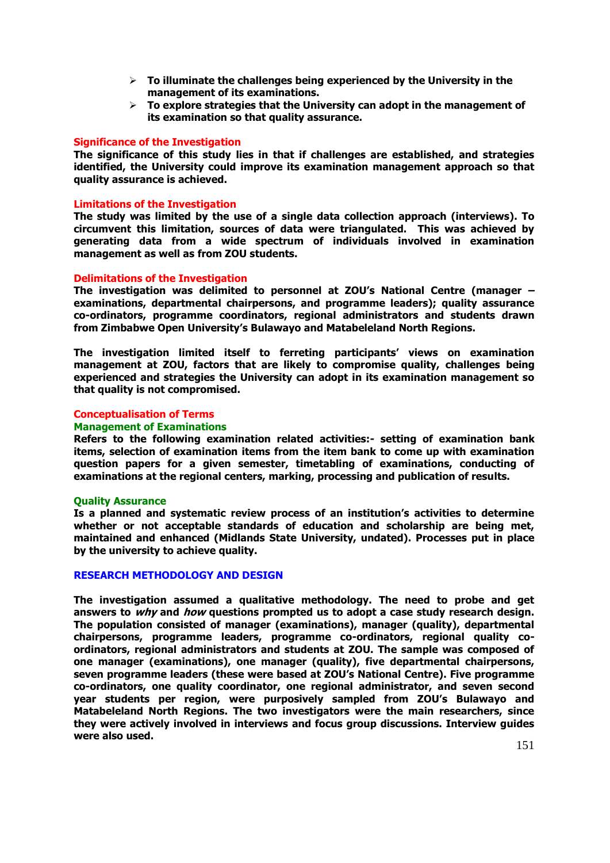- **To illuminate the challenges being experienced by the University in the management of its examinations.**
- **To explore strategies that the University can adopt in the management of its examination so that quality assurance.**

## **Significance of the Investigation**

**The significance of this study lies in that if challenges are established, and strategies identified, the University could improve its examination management approach so that quality assurance is achieved.** 

## **Limitations of the Investigation**

**The study was limited by the use of a single data collection approach (interviews). To circumvent this limitation, sources of data were triangulated. This was achieved by generating data from a wide spectrum of individuals involved in examination management as well as from ZOU students.** 

## **Delimitations of the Investigation**

**The investigation was delimited to personnel at ZOU's National Centre (manager – examinations, departmental chairpersons, and programme leaders); quality assurance co-ordinators, programme coordinators, regional administrators and students drawn from Zimbabwe Open University's Bulawayo and Matabeleland North Regions.** 

**The investigation limited itself to ferreting participants' views on examination management at ZOU, factors that are likely to compromise quality, challenges being experienced and strategies the University can adopt in its examination management so that quality is not compromised.** 

## **Conceptualisation of Terms**

## **Management of Examinations**

**Refers to the following examination related activities:- setting of examination bank items, selection of examination items from the item bank to come up with examination question papers for a given semester, timetabling of examinations, conducting of examinations at the regional centers, marking, processing and publication of results.** 

#### **Quality Assurance**

**Is a planned and systematic review process of an institution's activities to determine whether or not acceptable standards of education and scholarship are being met, maintained and enhanced (Midlands State University, undated). Processes put in place by the university to achieve quality.** 

#### **RESEARCH METHODOLOGY AND DESIGN**

**The investigation assumed a qualitative methodology. The need to probe and get answers to why and how questions prompted us to adopt a case study research design. The population consisted of manager (examinations), manager (quality), departmental chairpersons, programme leaders, programme co-ordinators, regional quality coordinators, regional administrators and students at ZOU. The sample was composed of one manager (examinations), one manager (quality), five departmental chairpersons, seven programme leaders (these were based at ZOU's National Centre). Five programme co-ordinators, one quality coordinator, one regional administrator, and seven second year students per region, were purposively sampled from ZOU's Bulawayo and Matabeleland North Regions. The two investigators were the main researchers, since they were actively involved in interviews and focus group discussions. Interview guides were also used.**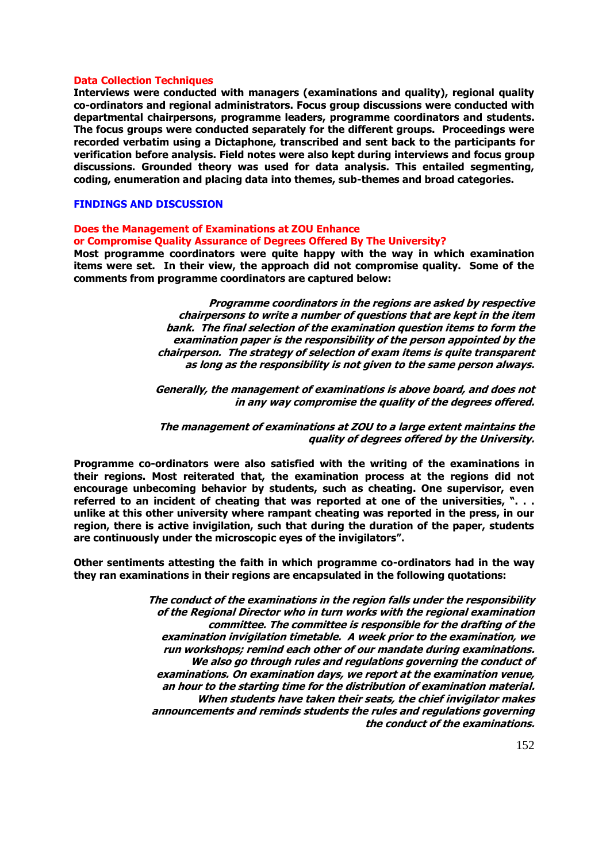## **Data Collection Techniques**

**Interviews were conducted with managers (examinations and quality), regional quality co-ordinators and regional administrators. Focus group discussions were conducted with departmental chairpersons, programme leaders, programme coordinators and students. The focus groups were conducted separately for the different groups. Proceedings were recorded verbatim using a Dictaphone, transcribed and sent back to the participants for verification before analysis. Field notes were also kept during interviews and focus group discussions. Grounded theory was used for data analysis. This entailed segmenting, coding, enumeration and placing data into themes, sub-themes and broad categories.** 

## **FINDINGS AND DISCUSSION**

## **Does the Management of Examinations at ZOU Enhance or Compromise Quality Assurance of Degrees Offered By The University?**

**Most programme coordinators were quite happy with the way in which examination items were set. In their view, the approach did not compromise quality. Some of the comments from programme coordinators are captured below:** 

> **Programme coordinators in the regions are asked by respective chairpersons to write a number of questions that are kept in the item bank. The final selection of the examination question items to form the examination paper is the responsibility of the person appointed by the chairperson. The strategy of selection of exam items is quite transparent as long as the responsibility is not given to the same person always.**

> **Generally, the management of examinations is above board, and does not in any way compromise the quality of the degrees offered.**

> **The management of examinations at ZOU to a large extent maintains the quality of degrees offered by the University.**

**Programme co-ordinators were also satisfied with the writing of the examinations in their regions. Most reiterated that, the examination process at the regions did not encourage unbecoming behavior by students, such as cheating. One supervisor, even referred to an incident of cheating that was reported at one of the universities, ". . . unlike at this other university where rampant cheating was reported in the press, in our region, there is active invigilation, such that during the duration of the paper, students are continuously under the microscopic eyes of the invigilators".**

**Other sentiments attesting the faith in which programme co-ordinators had in the way they ran examinations in their regions are encapsulated in the following quotations:** 

> **The conduct of the examinations in the region falls under the responsibility of the Regional Director who in turn works with the regional examination committee. The committee is responsible for the drafting of the examination invigilation timetable. A week prior to the examination, we run workshops; remind each other of our mandate during examinations. We also go through rules and regulations governing the conduct of examinations. On examination days, we report at the examination venue, an hour to the starting time for the distribution of examination material. When students have taken their seats, the chief invigilator makes announcements and reminds students the rules and regulations governing the conduct of the examinations.**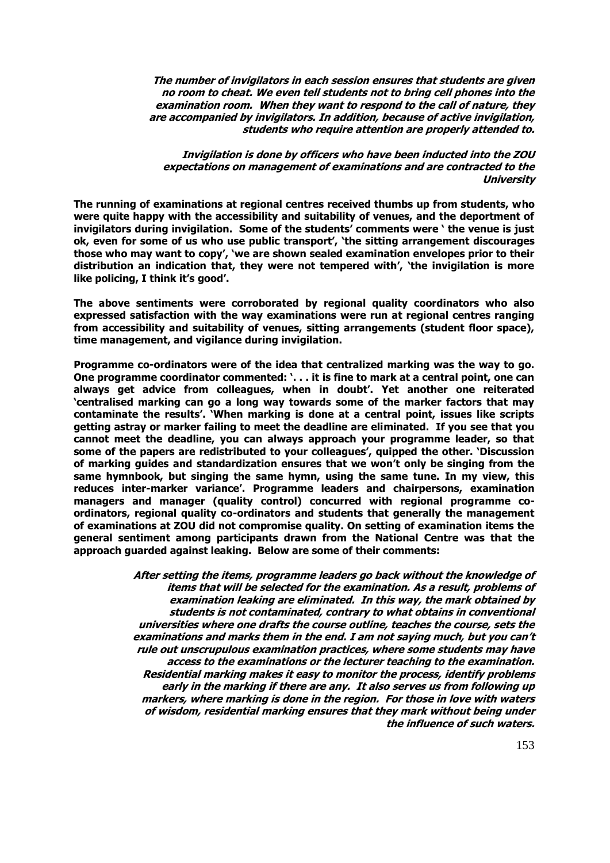**The number of invigilators in each session ensures that students are given no room to cheat. We even tell students not to bring cell phones into the examination room. When they want to respond to the call of nature, they are accompanied by invigilators. In addition, because of active invigilation, students who require attention are properly attended to.** 

**Invigilation is done by officers who have been inducted into the ZOU expectations on management of examinations and are contracted to the University**

**The running of examinations at regional centres received thumbs up from students, who were quite happy with the accessibility and suitability of venues, and the deportment of invigilators during invigilation. Some of the students' comments were ' the venue is just ok, even for some of us who use public transport', 'the sitting arrangement discourages those who may want to copy', 'we are shown sealed examination envelopes prior to their distribution an indication that, they were not tempered with', 'the invigilation is more like policing, I think it's good'.**

**The above sentiments were corroborated by regional quality coordinators who also expressed satisfaction with the way examinations were run at regional centres ranging from accessibility and suitability of venues, sitting arrangements (student floor space), time management, and vigilance during invigilation.** 

**Programme co-ordinators were of the idea that centralized marking was the way to go. One programme coordinator commented: '. . . it is fine to mark at a central point, one can always get advice from colleagues, when in doubt'. Yet another one reiterated 'centralised marking can go a long way towards some of the marker factors that may contaminate the results'. 'When marking is done at a central point, issues like scripts getting astray or marker failing to meet the deadline are eliminated. If you see that you cannot meet the deadline, you can always approach your programme leader, so that some of the papers are redistributed to your colleagues', quipped the other. 'Discussion of marking guides and standardization ensures that we won't only be singing from the same hymnbook, but singing the same hymn, using the same tune. In my view, this reduces inter-marker variance'. Programme leaders and chairpersons, examination managers and manager (quality control) concurred with regional programme coordinators, regional quality co-ordinators and students that generally the management of examinations at ZOU did not compromise quality. On setting of examination items the general sentiment among participants drawn from the National Centre was that the approach guarded against leaking. Below are some of their comments:** 

> **After setting the items, programme leaders go back without the knowledge of items that will be selected for the examination. As a result, problems of examination leaking are eliminated. In this way, the mark obtained by students is not contaminated, contrary to what obtains in conventional universities where one drafts the course outline, teaches the course, sets the examinations and marks them in the end. I am not saying much, but you can't rule out unscrupulous examination practices, where some students may have access to the examinations or the lecturer teaching to the examination. Residential marking makes it easy to monitor the process, identify problems early in the marking if there are any. It also serves us from following up markers, where marking is done in the region. For those in love with waters of wisdom, residential marking ensures that they mark without being under the influence of such waters.**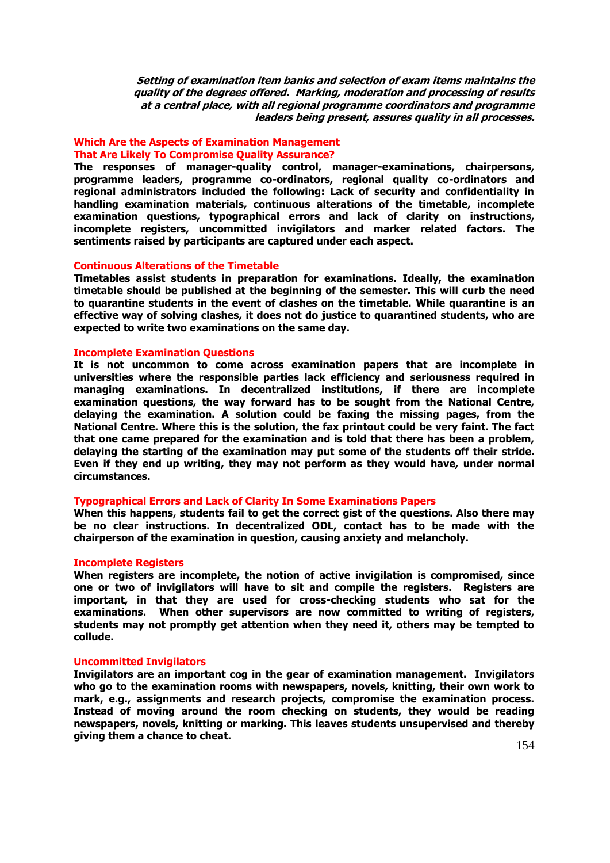**Setting of examination item banks and selection of exam items maintains the quality of the degrees offered. Marking, moderation and processing of results at a central place, with all regional programme coordinators and programme leaders being present, assures quality in all processes.** 

# **Which Are the Aspects of Examination Management That Are Likely To Compromise Quality Assurance?**

**The responses of manager-quality control, manager-examinations, chairpersons, programme leaders, programme co-ordinators, regional quality co-ordinators and regional administrators included the following: Lack of security and confidentiality in handling examination materials, continuous alterations of the timetable, incomplete examination questions, typographical errors and lack of clarity on instructions, incomplete registers, uncommitted invigilators and marker related factors. The sentiments raised by participants are captured under each aspect.** 

## **Continuous Alterations of the Timetable**

**Timetables assist students in preparation for examinations. Ideally, the examination timetable should be published at the beginning of the semester. This will curb the need to quarantine students in the event of clashes on the timetable. While quarantine is an effective way of solving clashes, it does not do justice to quarantined students, who are expected to write two examinations on the same day.** 

## **Incomplete Examination Questions**

**It is not uncommon to come across examination papers that are incomplete in universities where the responsible parties lack efficiency and seriousness required in managing examinations. In decentralized institutions, if there are incomplete examination questions, the way forward has to be sought from the National Centre, delaying the examination. A solution could be faxing the missing pages, from the National Centre. Where this is the solution, the fax printout could be very faint. The fact that one came prepared for the examination and is told that there has been a problem, delaying the starting of the examination may put some of the students off their stride. Even if they end up writing, they may not perform as they would have, under normal circumstances.** 

# **Typographical Errors and Lack of Clarity In Some Examinations Papers**

**When this happens, students fail to get the correct gist of the questions. Also there may be no clear instructions. In decentralized ODL, contact has to be made with the chairperson of the examination in question, causing anxiety and melancholy.** 

#### **Incomplete Registers**

**When registers are incomplete, the notion of active invigilation is compromised, since one or two of invigilators will have to sit and compile the registers. Registers are important, in that they are used for cross-checking students who sat for the examinations. When other supervisors are now committed to writing of registers, students may not promptly get attention when they need it, others may be tempted to collude.** 

### **Uncommitted Invigilators**

**Invigilators are an important cog in the gear of examination management. Invigilators who go to the examination rooms with newspapers, novels, knitting, their own work to mark, e.g., assignments and research projects, compromise the examination process. Instead of moving around the room checking on students, they would be reading newspapers, novels, knitting or marking. This leaves students unsupervised and thereby giving them a chance to cheat.**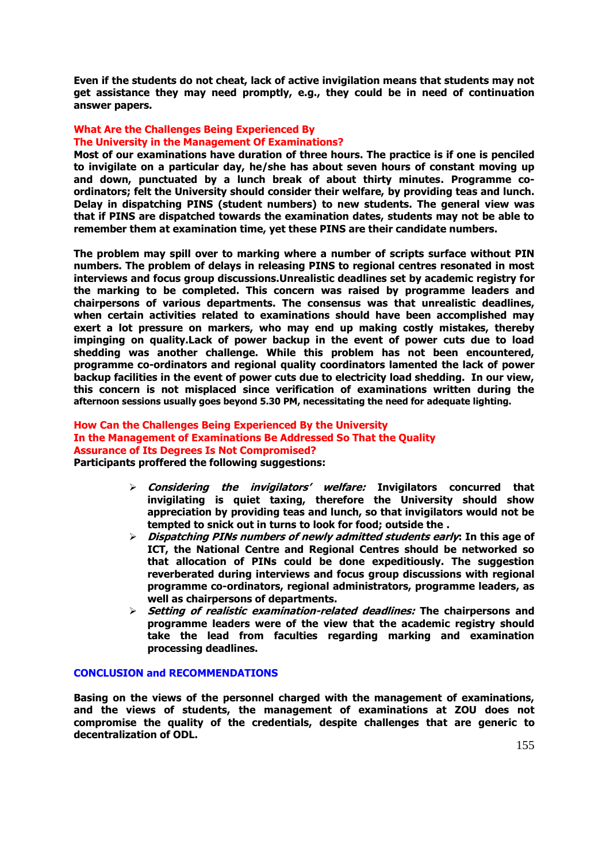**Even if the students do not cheat, lack of active invigilation means that students may not get assistance they may need promptly, e.g., they could be in need of continuation answer papers.** 

# **What Are the Challenges Being Experienced By The University in the Management Of Examinations?**

**Most of our examinations have duration of three hours. The practice is if one is penciled to invigilate on a particular day, he/she has about seven hours of constant moving up and down, punctuated by a lunch break of about thirty minutes. Programme coordinators; felt the University should consider their welfare, by providing teas and lunch. Delay in dispatching PINS (student numbers) to new students. The general view was that if PINS are dispatched towards the examination dates, students may not be able to remember them at examination time, yet these PINS are their candidate numbers.** 

**The problem may spill over to marking where a number of scripts surface without PIN numbers. The problem of delays in releasing PINS to regional centres resonated in most interviews and focus group discussions.Unrealistic deadlines set by academic registry for the marking to be completed. This concern was raised by programme leaders and chairpersons of various departments. The consensus was that unrealistic deadlines, when certain activities related to examinations should have been accomplished may exert a lot pressure on markers, who may end up making costly mistakes, thereby impinging on quality.Lack of power backup in the event of power cuts due to load shedding was another challenge. While this problem has not been encountered, programme co-ordinators and regional quality coordinators lamented the lack of power backup facilities in the event of power cuts due to electricity load shedding. In our view, this concern is not misplaced since verification of examinations written during the afternoon sessions usually goes beyond 5.30 PM, necessitating the need for adequate lighting.**

# **How Can the Challenges Being Experienced By the University In the Management of Examinations Be Addressed So That the Quality Assurance of Its Degrees Is Not Compromised? Participants proffered the following suggestions:**

- **Considering the invigilators' welfare: Invigilators concurred that invigilating is quiet taxing, therefore the University should show appreciation by providing teas and lunch, so that invigilators would not be tempted to snick out in turns to look for food; outside the .**
- **Dispatching PINs numbers of newly admitted students early: In this age of ICT, the National Centre and Regional Centres should be networked so that allocation of PINs could be done expeditiously. The suggestion reverberated during interviews and focus group discussions with regional programme co-ordinators, regional administrators, programme leaders, as well as chairpersons of departments.**
- **Setting of realistic examination-related deadlines: The chairpersons and programme leaders were of the view that the academic registry should take the lead from faculties regarding marking and examination processing deadlines.**

## **CONCLUSION and RECOMMENDATIONS**

**Basing on the views of the personnel charged with the management of examinations, and the views of students, the management of examinations at ZOU does not compromise the quality of the credentials, despite challenges that are generic to decentralization of ODL.**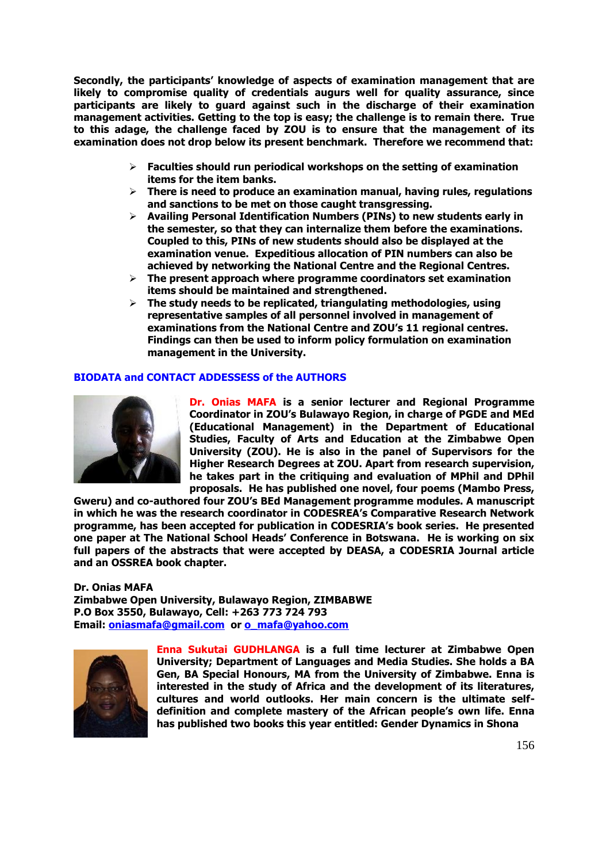**Secondly, the participants' knowledge of aspects of examination management that are likely to compromise quality of credentials augurs well for quality assurance, since participants are likely to guard against such in the discharge of their examination management activities. Getting to the top is easy; the challenge is to remain there. True to this adage, the challenge faced by ZOU is to ensure that the management of its examination does not drop below its present benchmark. Therefore we recommend that:** 

- **Faculties should run periodical workshops on the setting of examination items for the item banks.**
- **There is need to produce an examination manual, having rules, regulations and sanctions to be met on those caught transgressing.**
- **Availing Personal Identification Numbers (PINs) to new students early in the semester, so that they can internalize them before the examinations. Coupled to this, PINs of new students should also be displayed at the examination venue. Expeditious allocation of PIN numbers can also be achieved by networking the National Centre and the Regional Centres.**
- **The present approach where programme coordinators set examination items should be maintained and strengthened.**
- **The study needs to be replicated, triangulating methodologies, using representative samples of all personnel involved in management of examinations from the National Centre and ZOU's 11 regional centres. Findings can then be used to inform policy formulation on examination management in the University.**

# **BIODATA and CONTACT ADDESSESS of the AUTHORS**



**Dr. Onias MAFA is a senior lecturer and Regional Programme Coordinator in ZOU's Bulawayo Region, in charge of PGDE and MEd (Educational Management) in the Department of Educational Studies, Faculty of Arts and Education at the Zimbabwe Open University (ZOU). He is also in the panel of Supervisors for the Higher Research Degrees at ZOU. Apart from research supervision, he takes part in the critiquing and evaluation of MPhil and DPhil proposals. He has published one novel, four poems (Mambo Press,** 

**Gweru) and co-authored four ZOU's BEd Management programme modules. A manuscript in which he was the research coordinator in CODESREA's Comparative Research Network programme, has been accepted for publication in CODESRIA's book series. He presented one paper at The National School Heads' Conference in Botswana. He is working on six full papers of the abstracts that were accepted by DEASA, a CODESRIA Journal article and an OSSREA book chapter.** 

**Dr. Onias MAFA Zimbabwe Open University, Bulawayo Region, ZIMBABWE P.O Box 3550, Bulawayo, Cell: +263 773 724 793 Email: <u>oniasmafa@gmail.com</u>** or **0** mafa@yahoo.com



**Enna Sukutai GUDHLANGA is a full time lecturer at Zimbabwe Open University; Department of Languages and Media Studies. She holds a BA Gen, BA Special Honours, MA from the University of Zimbabwe. Enna is interested in the study of Africa and the development of its literatures, cultures and world outlooks. Her main concern is the ultimate selfdefinition and complete mastery of the African people's own life. Enna has published two books this year entitled: Gender Dynamics in Shona**